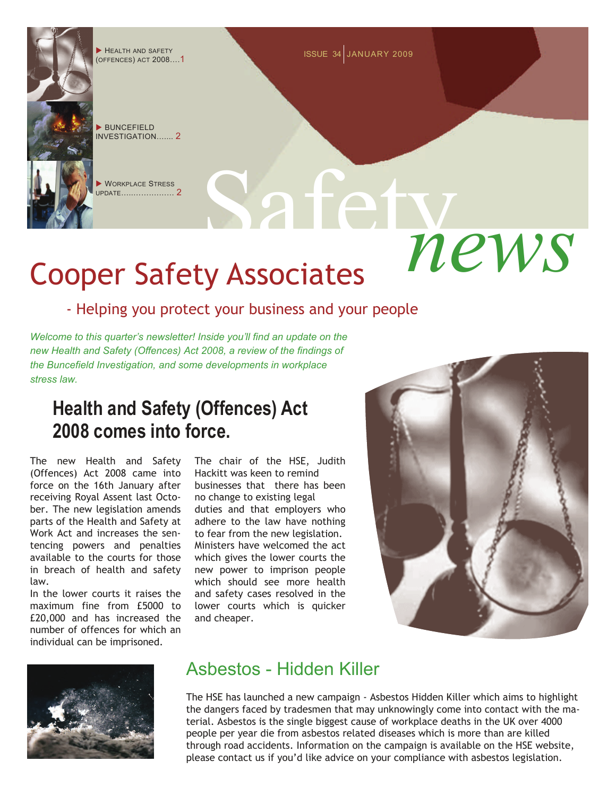# Safety *news* Cooper Safety Associates

(OFFENCES) ACT 2008….1

X BUNCEFIELD INVESTIGATION…... $\,$   $\,$ 

**XORKPLACE STRESS** UPDATE…..……….…… 2

## - Helping you protect your business and your people

*Welcome to this quarter's newsletter! Inside you'll find an update on the new Health and Safety (Offences) Act 2008, a review of the findings of the Buncefield Investigation, and some developments in workplace stress law.* 

## **Health and Safety (Offences) Act 2008 comes into force.**

The new Health and Safety (Offences) Act 2008 came into force on the 16th January after receiving Royal Assent last October. The new legislation amends parts of the Health and Safety at Work Act and increases the sentencing powers and penalties available to the courts for those in breach of health and safety law.

In the lower courts it raises the maximum fine from £5000 to £20,000 and has increased the number of offences for which an individual can be imprisoned.

The chair of the HSE, Judith Hackitt was keen to remind businesses that there has been no change to existing legal

duties and that employers who adhere to the law have nothing to fear from the new legislation. Ministers have welcomed the act which gives the lower courts the new power to imprison people which should see more health and safety cases resolved in the lower courts which is quicker and cheaper.





## Asbestos - Hidden Killer

The HSE has launched a new campaign - Asbestos Hidden Killer which aims to highlight the dangers faced by tradesmen that may unknowingly come into contact with the material. Asbestos is the single biggest cause of workplace deaths in the UK over 4000 people per year die from asbestos related diseases which is more than are killed through road accidents. Information on the campaign is available on the HSE website, please contact us if you'd like advice on your compliance with asbestos legislation.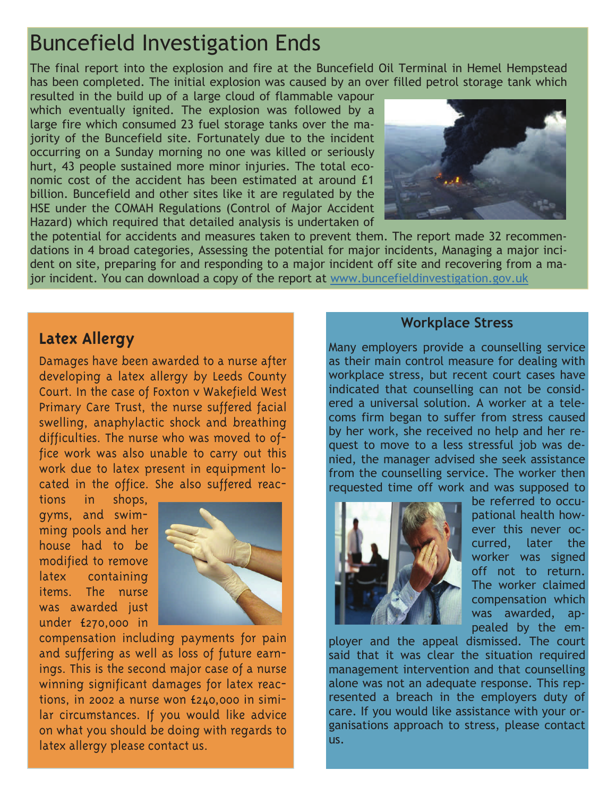

jor incident. You can download a copy of the report at www.buncefieldinvestigation.gov.uk



### **Workplace Stress**

Many employers provide a counselling service as their main control measure for dealing with workplace stress, but recent court cases have indicated that counselling can not be considered a universal solution. A worker at a telecoms firm began to suffer from stress caused by her work, she received no help and her request to move to a less stressful job was denied, the manager advised she seek assistance from the counselling service. The worker then requested time off work and was supposed to



be referred to occupational health however this never occurred, later the worker was signed off not to return. The worker claimed compensation which was awarded, appealed by the em-

ployer and the appeal dismissed. The court said that it was clear the situation required management intervention and that counselling alone was not an adequate response. This represented a breach in the employers duty of care. If you would like assistance with your organisations approach to stress, please contact us.